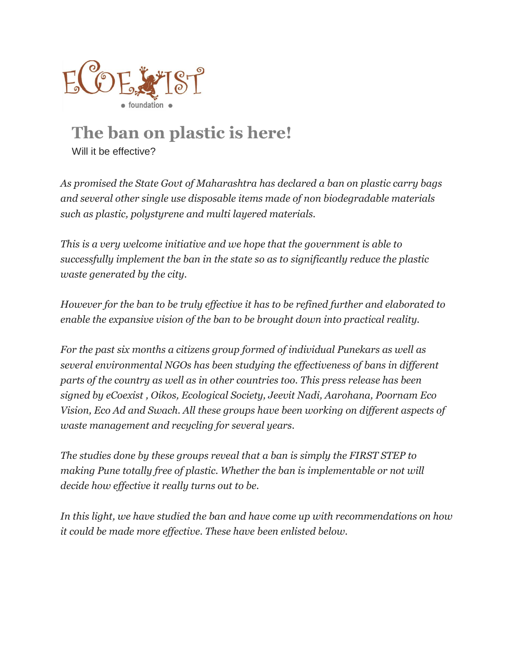

# **The ban on plastic is here!**

Will it be effective?

*As promised the State Govt of Maharashtra has declared a ban on plastic carry bags and several other single use disposable items made of non biodegradable materials such as plastic, polystyrene and multi layered materials.*

*This is a very welcome initiative and we hope that the government is able to successfully implement the ban in the state so as to significantly reduce the plastic waste generated by the city.*

*However for the ban to be truly effective it has to be refined further and elaborated to enable the expansive vision of the ban to be brought down into practical reality.*

*For the past six months a citizens group formed of individual Punekars as well as several environmental NGOs has been studying the effectiveness of bans in different parts of the country as well as in other countries too. This press release has been signed by eCoexist , Oikos, Ecological Society, Jeevit Nadi, Aarohana, Poornam Eco Vision, Eco Ad and Swach. All these groups have been working on different aspects of waste management and recycling for several years.*

*The studies done by these groups reveal that a ban is simply the FIRST STEP to making Pune totally free of plastic. Whether the ban is implementable or not will decide how effective it really turns out to be.*

*In this light, we have studied the ban and have come up with recommendations on how it could be made more effective. These have been enlisted below.*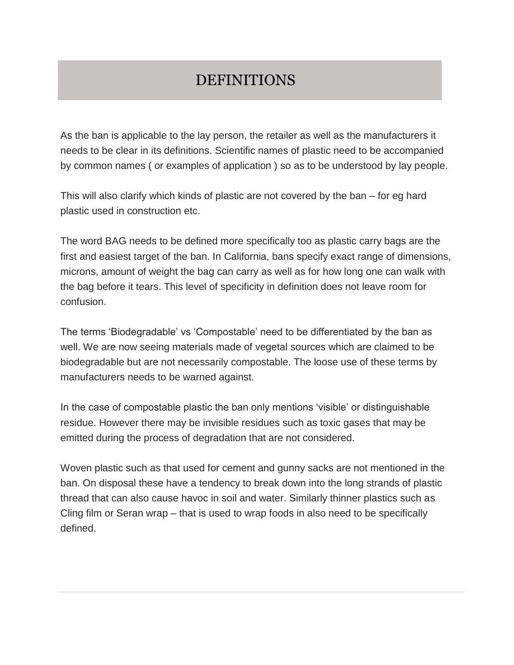#### DEFINITIONS

As the ban is applicable to the lay person, the retailer as well as the manufacturers it needs to be clear in its definitions. Scientific names of plastic need to be accompanied by common names ( or examples of application ) so as to be understood by lay people.

This will also clarify which kinds of plastic are not covered by the ban – for eg hard plastic used in construction etc.

The word BAG needs to be defined more specifically too as plastic carry bags are the first and easiest target of the ban. In California, bans specify exact range of dimensions, microns, amount of weight the bag can carry as well as for how long one can walk with the bag before it tears. This level of specificity in definition does not leave room for confusion.

The terms 'Biodegradable' vs 'Compostable' need to be differentiated by the ban as well. We are now seeing materials made of vegetal sources which are claimed to be biodegradable but are not necessarily compostable. The loose use of these terms by manufacturers needs to be warned against.

In the case of compostable plastic the ban only mentions 'visible' or distinguishable residue. However there may be invisible residues such as toxic gases that may be emitted during the process of degradation that are not considered.

Woven plastic such as that used for cement and gunny sacks are not mentioned in the ban. On disposal these have a tendency to break down into the long strands of plastic thread that can also cause havoc in soil and water. Similarly thinner plastics such as Cling film or Seran wrap – that is used to wrap foods in also need to be specifically defined.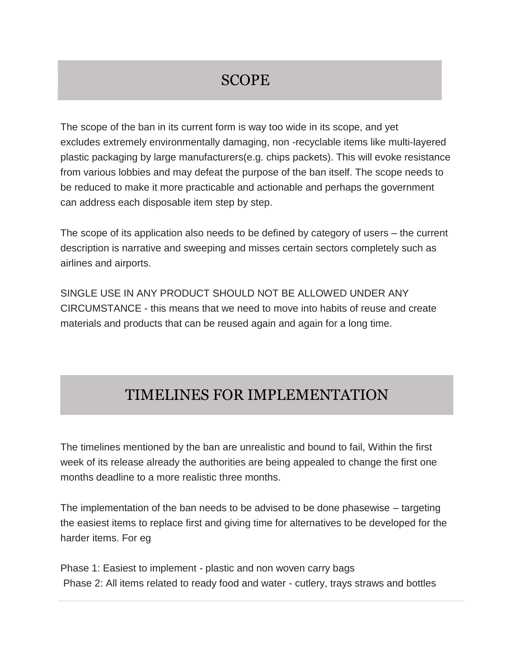## SCOPE

The scope of the ban in its current form is way too wide in its scope, and yet excludes extremely environmentally damaging, non -recyclable items like multi-layered plastic packaging by large manufacturers(e.g. chips packets). This will evoke resistance from various lobbies and may defeat the purpose of the ban itself. The scope needs to be reduced to make it more practicable and actionable and perhaps the government can address each disposable item step by step.

The scope of its application also needs to be defined by category of users – the current description is narrative and sweeping and misses certain sectors completely such as airlines and airports.

SINGLE USE IN ANY PRODUCT SHOULD NOT BE ALLOWED UNDER ANY CIRCUMSTANCE - this means that we need to move into habits of reuse and create materials and products that can be reused again and again for a long time.

#### TIMELINES FOR IMPLEMENTATION

The timelines mentioned by the ban are unrealistic and bound to fail, Within the first week of its release already the authorities are being appealed to change the first one months deadline to a more realistic three months.

The implementation of the ban needs to be advised to be done phasewise – targeting the easiest items to replace first and giving time for alternatives to be developed for the harder items. For eg

Phase 1: Easiest to implement - plastic and non woven carry bags Phase 2: All items related to ready food and water - cutlery, trays straws and bottles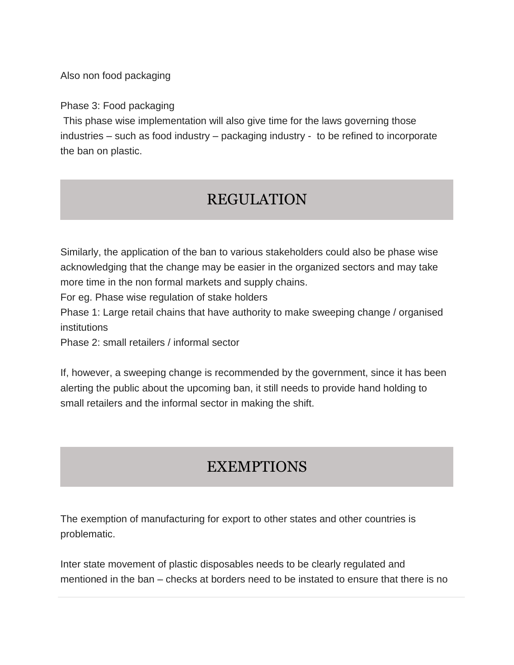Also non food packaging

Phase 3: Food packaging

This phase wise implementation will also give time for the laws governing those industries – such as food industry – packaging industry - to be refined to incorporate the ban on plastic.

## REGULATION

Similarly, the application of the ban to various stakeholders could also be phase wise acknowledging that the change may be easier in the organized sectors and may take more time in the non formal markets and supply chains.

For eg. Phase wise regulation of stake holders

Phase 1: Large retail chains that have authority to make sweeping change / organised institutions

Phase 2: small retailers / informal sector

If, however, a sweeping change is recommended by the government, since it has been alerting the public about the upcoming ban, it still needs to provide hand holding to small retailers and the informal sector in making the shift.

# **EXEMPTIONS**

The exemption of manufacturing for export to other states and other countries is problematic.

Inter state movement of plastic disposables needs to be clearly regulated and mentioned in the ban – checks at borders need to be instated to ensure that there is no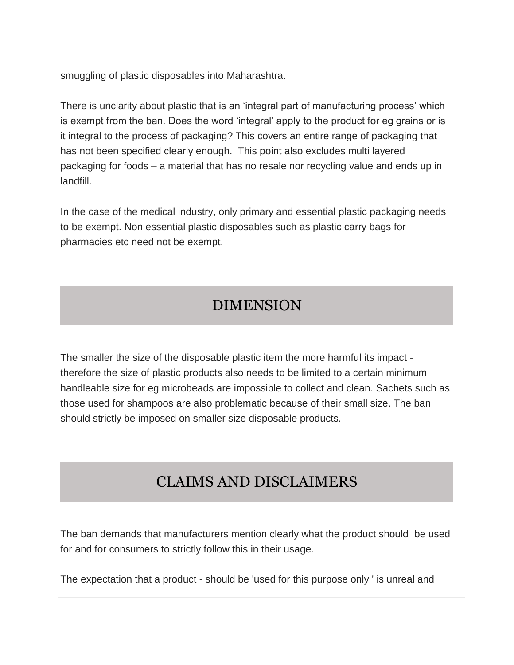smuggling of plastic disposables into Maharashtra.

There is unclarity about plastic that is an 'integral part of manufacturing process' which is exempt from the ban. Does the word 'integral' apply to the product for eg grains or is it integral to the process of packaging? This covers an entire range of packaging that has not been specified clearly enough. This point also excludes multi layered packaging for foods – a material that has no resale nor recycling value and ends up in landfill.

In the case of the medical industry, only primary and essential plastic packaging needs to be exempt. Non essential plastic disposables such as plastic carry bags for pharmacies etc need not be exempt.

# DIMENSION

The smaller the size of the disposable plastic item the more harmful its impact therefore the size of plastic products also needs to be limited to a certain minimum handleable size for eg microbeads are impossible to collect and clean. Sachets such as those used for shampoos are also problematic because of their small size. The ban should strictly be imposed on smaller size disposable products.

# CLAIMS AND DISCLAIMERS

The ban demands that manufacturers mention clearly what the product should be used for and for consumers to strictly follow this in their usage.

The expectation that a product - should be 'used for this purpose only ' is unreal and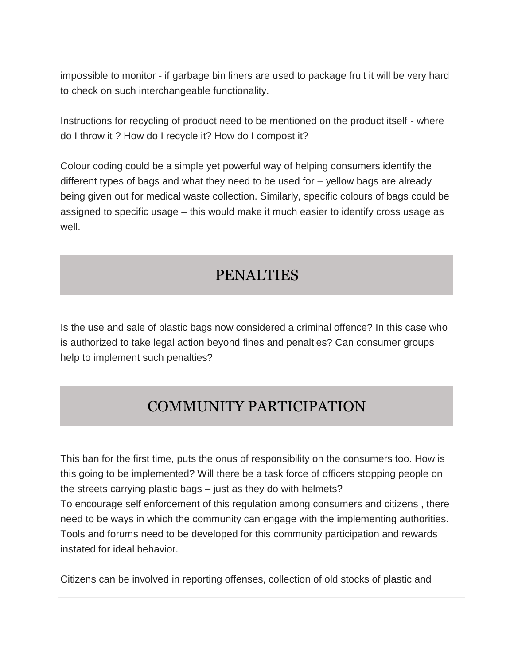impossible to monitor - if garbage bin liners are used to package fruit it will be very hard to check on such interchangeable functionality.

Instructions for recycling of product need to be mentioned on the product itself - where do I throw it ? How do I recycle it? How do I compost it?

Colour coding could be a simple yet powerful way of helping consumers identify the different types of bags and what they need to be used for – yellow bags are already being given out for medical waste collection. Similarly, specific colours of bags could be assigned to specific usage – this would make it much easier to identify cross usage as well.

## PENALTIES

Is the use and sale of plastic bags now considered a criminal offence? In this case who is authorized to take legal action beyond fines and penalties? Can consumer groups help to implement such penalties?

# COMMUNITY PARTICIPATION

This ban for the first time, puts the onus of responsibility on the consumers too. How is this going to be implemented? Will there be a task force of officers stopping people on the streets carrying plastic bags – just as they do with helmets? To encourage self enforcement of this regulation among consumers and citizens , there need to be ways in which the community can engage with the implementing authorities. Tools and forums need to be developed for this community participation and rewards instated for ideal behavior.

Citizens can be involved in reporting offenses, collection of old stocks of plastic and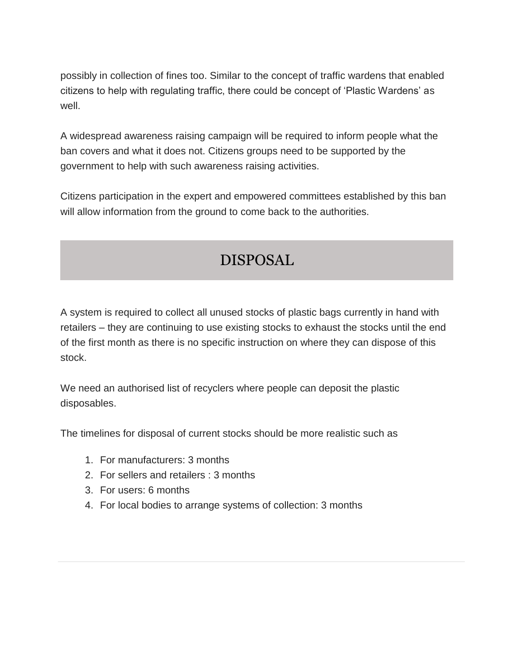possibly in collection of fines too. Similar to the concept of traffic wardens that enabled citizens to help with regulating traffic, there could be concept of 'Plastic Wardens' as well.

A widespread awareness raising campaign will be required to inform people what the ban covers and what it does not. Citizens groups need to be supported by the government to help with such awareness raising activities.

Citizens participation in the expert and empowered committees established by this ban will allow information from the ground to come back to the authorities.

# DISPOSAL

A system is required to collect all unused stocks of plastic bags currently in hand with retailers – they are continuing to use existing stocks to exhaust the stocks until the end of the first month as there is no specific instruction on where they can dispose of this stock.

We need an authorised list of recyclers where people can deposit the plastic disposables.

The timelines for disposal of current stocks should be more realistic such as

- 1. For manufacturers: 3 months
- 2. For sellers and retailers : 3 months
- 3. For users: 6 months
- 4. For local bodies to arrange systems of collection: 3 months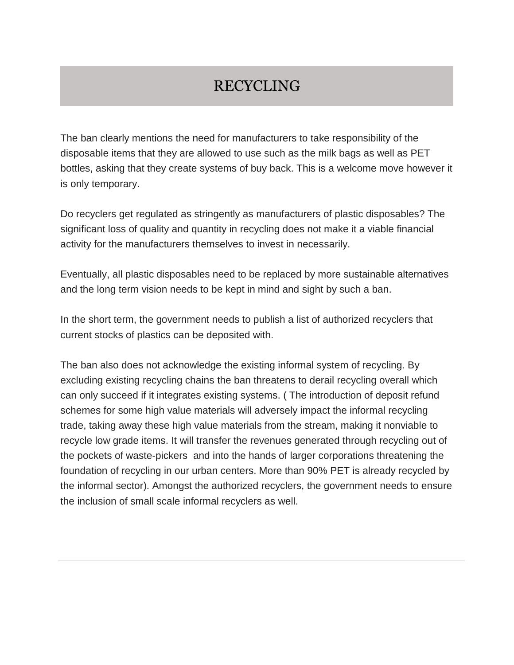#### RECYCLING

The ban clearly mentions the need for manufacturers to take responsibility of the disposable items that they are allowed to use such as the milk bags as well as PET bottles, asking that they create systems of buy back. This is a welcome move however it is only temporary.

Do recyclers get regulated as stringently as manufacturers of plastic disposables? The significant loss of quality and quantity in recycling does not make it a viable financial activity for the manufacturers themselves to invest in necessarily.

Eventually, all plastic disposables need to be replaced by more sustainable alternatives and the long term vision needs to be kept in mind and sight by such a ban.

In the short term, the government needs to publish a list of authorized recyclers that current stocks of plastics can be deposited with.

The ban also does not acknowledge the existing informal system of recycling. By excluding existing recycling chains the ban threatens to derail recycling overall which can only succeed if it integrates existing systems. ( The introduction of deposit refund schemes for some high value materials will adversely impact the informal recycling trade, taking away these high value materials from the stream, making it nonviable to recycle low grade items. It will transfer the revenues generated through recycling out of the pockets of waste-pickers and into the hands of larger corporations threatening the foundation of recycling in our urban centers. More than 90% PET is already recycled by the informal sector). Amongst the authorized recyclers, the government needs to ensure the inclusion of small scale informal recyclers as well.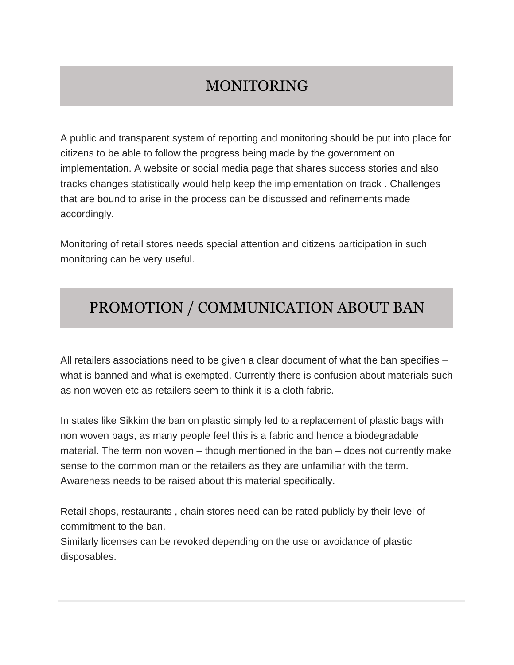# MONITORING

A public and transparent system of reporting and monitoring should be put into place for citizens to be able to follow the progress being made by the government on implementation. A website or social media page that shares success stories and also tracks changes statistically would help keep the implementation on track . Challenges that are bound to arise in the process can be discussed and refinements made accordingly.

Monitoring of retail stores needs special attention and citizens participation in such monitoring can be very useful.

## PROMOTION / COMMUNICATION ABOUT BAN

All retailers associations need to be given a clear document of what the ban specifies – what is banned and what is exempted. Currently there is confusion about materials such as non woven etc as retailers seem to think it is a cloth fabric.

In states like Sikkim the ban on plastic simply led to a replacement of plastic bags with non woven bags, as many people feel this is a fabric and hence a biodegradable material. The term non woven – though mentioned in the ban – does not currently make sense to the common man or the retailers as they are unfamiliar with the term. Awareness needs to be raised about this material specifically.

Retail shops, restaurants , chain stores need can be rated publicly by their level of commitment to the ban.

Similarly licenses can be revoked depending on the use or avoidance of plastic disposables.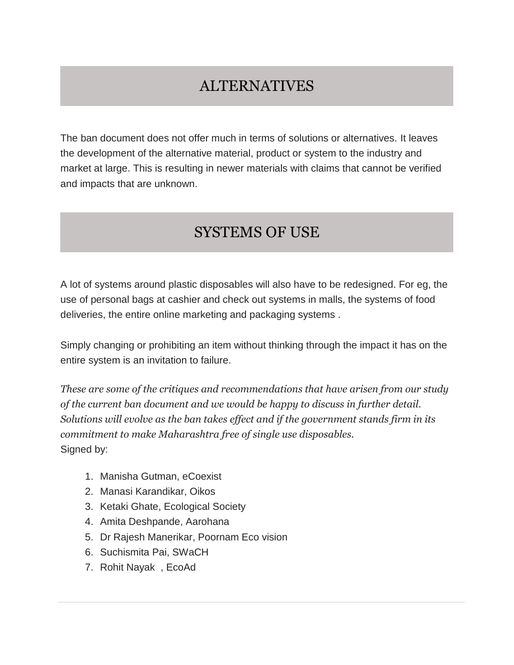#### ALTERNATIVES

The ban document does not offer much in terms of solutions or alternatives. It leaves the development of the alternative material, product or system to the industry and market at large. This is resulting in newer materials with claims that cannot be verified and impacts that are unknown.

# SYSTEMS OF USE

A lot of systems around plastic disposables will also have to be redesigned. For eg, the use of personal bags at cashier and check out systems in malls, the systems of food deliveries, the entire online marketing and packaging systems .

Simply changing or prohibiting an item without thinking through the impact it has on the entire system is an invitation to failure.

*These are some of the critiques and recommendations that have arisen from our study of the current ban document and we would be happy to discuss in further detail. Solutions will evolve as the ban takes effect and if the government stands firm in its commitment to make Maharashtra free of single use disposables.* Signed by:

- 1. Manisha Gutman, eCoexist
- 2. Manasi Karandikar, Oikos
- 3. Ketaki Ghate, Ecological Society
- 4. Amita Deshpande, Aarohana
- 5. Dr Rajesh Manerikar, Poornam Eco vision
- 6. Suchismita Pai, SWaCH
- 7. Rohit Nayak , EcoAd